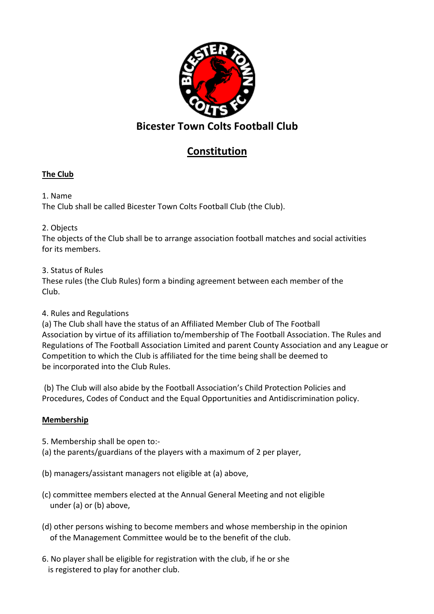

# **Constitution**

# **The Club**

1. Name The Club shall be called Bicester Town Colts Football Club (the Club).

2. Objects

The objects of the Club shall be to arrange association football matches and social activities for its members.

3. Status of Rules

These rules (the Club Rules) form a binding agreement between each member of the Club.

# 4. Rules and Regulations

(a) The Club shall have the status of an Affiliated Member Club of The Football Association by virtue of its affiliation to/membership of The Football Association. The Rules and Regulations of The Football Association Limited and parent County Association and any League or Competition to which the Club is affiliated for the time being shall be deemed to be incorporated into the Club Rules.

 (b) The Club will also abide by the Football Association's Child Protection Policies and Procedures, Codes of Conduct and the Equal Opportunities and Antidiscrimination policy.

# **Membership**

- 5. Membership shall be open to:-
- (a) the parents/guardians of the players with a maximum of 2 per player,
- (b) managers/assistant managers not eligible at (a) above,
- (c) committee members elected at the Annual General Meeting and not eligible under (a) or (b) above,
- (d) other persons wishing to become members and whose membership in the opinion of the Management Committee would be to the benefit of the club.
- 6. No player shall be eligible for registration with the club, if he or she is registered to play for another club.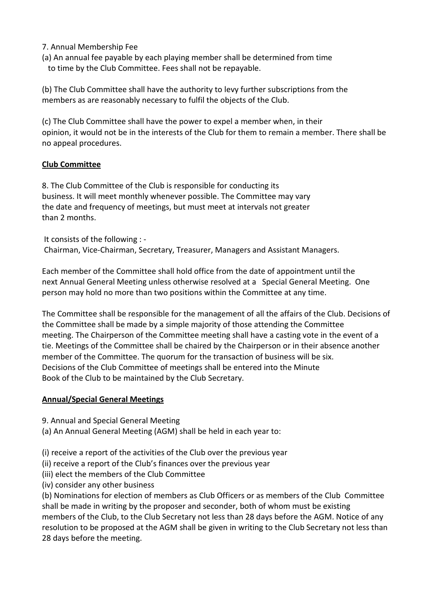### 7. Annual Membership Fee

(a) An annual fee payable by each playing member shall be determined from time to time by the Club Committee. Fees shall not be repayable.

(b) The Club Committee shall have the authority to levy further subscriptions from the members as are reasonably necessary to fulfil the objects of the Club.

(c) The Club Committee shall have the power to expel a member when, in their opinion, it would not be in the interests of the Club for them to remain a member. There shall be no appeal procedures.

#### **Club Committee**

8. The Club Committee of the Club is responsible for conducting its business. It will meet monthly whenever possible. The Committee may vary the date and frequency of meetings, but must meet at intervals not greater than 2 months.

 It consists of the following : - Chairman, Vice-Chairman, Secretary, Treasurer, Managers and Assistant Managers.

Each member of the Committee shall hold office from the date of appointment until the next Annual General Meeting unless otherwise resolved at a Special General Meeting. One person may hold no more than two positions within the Committee at any time.

The Committee shall be responsible for the management of all the affairs of the Club. Decisions of the Committee shall be made by a simple majority of those attending the Committee meeting. The Chairperson of the Committee meeting shall have a casting vote in the event of a tie. Meetings of the Committee shall be chaired by the Chairperson or in their absence another member of the Committee. The quorum for the transaction of business will be six. Decisions of the Club Committee of meetings shall be entered into the Minute Book of the Club to be maintained by the Club Secretary.

#### **Annual/Special General Meetings**

9. Annual and Special General Meeting

(a) An Annual General Meeting (AGM) shall be held in each year to:

- (i) receive a report of the activities of the Club over the previous year
- (ii) receive a report of the Club's finances over the previous year
- (iii) elect the members of the Club Committee
- (iv) consider any other business

(b) Nominations for election of members as Club Officers or as members of the Club Committee shall be made in writing by the proposer and seconder, both of whom must be existing members of the Club, to the Club Secretary not less than 28 days before the AGM. Notice of any resolution to be proposed at the AGM shall be given in writing to the Club Secretary not less than 28 days before the meeting.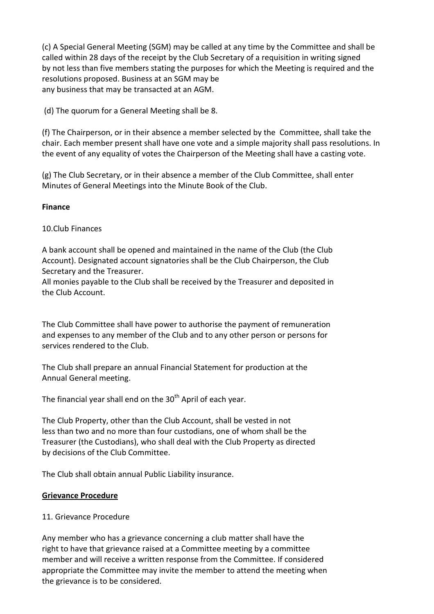(c) A Special General Meeting (SGM) may be called at any time by the Committee and shall be called within 28 days of the receipt by the Club Secretary of a requisition in writing signed by not less than five members stating the purposes for which the Meeting is required and the resolutions proposed. Business at an SGM may be any business that may be transacted at an AGM.

(d) The quorum for a General Meeting shall be 8.

(f) The Chairperson, or in their absence a member selected by the Committee, shall take the chair. Each member present shall have one vote and a simple majority shall pass resolutions. In the event of any equality of votes the Chairperson of the Meeting shall have a casting vote.

(g) The Club Secretary, or in their absence a member of the Club Committee, shall enter Minutes of General Meetings into the Minute Book of the Club.

#### **Finance**

10.Club Finances

A bank account shall be opened and maintained in the name of the Club (the Club Account). Designated account signatories shall be the Club Chairperson, the Club Secretary and the Treasurer.

All monies payable to the Club shall be received by the Treasurer and deposited in the Club Account.

The Club Committee shall have power to authorise the payment of remuneration and expenses to any member of the Club and to any other person or persons for services rendered to the Club.

The Club shall prepare an annual Financial Statement for production at the Annual General meeting.

The financial year shall end on the  $30<sup>th</sup>$  April of each year.

The Club Property, other than the Club Account, shall be vested in not less than two and no more than four custodians, one of whom shall be the Treasurer (the Custodians), who shall deal with the Club Property as directed by decisions of the Club Committee.

The Club shall obtain annual Public Liability insurance.

### **Grievance Procedure**

### 11. Grievance Procedure

Any member who has a grievance concerning a club matter shall have the right to have that grievance raised at a Committee meeting by a committee member and will receive a written response from the Committee. If considered appropriate the Committee may invite the member to attend the meeting when the grievance is to be considered.